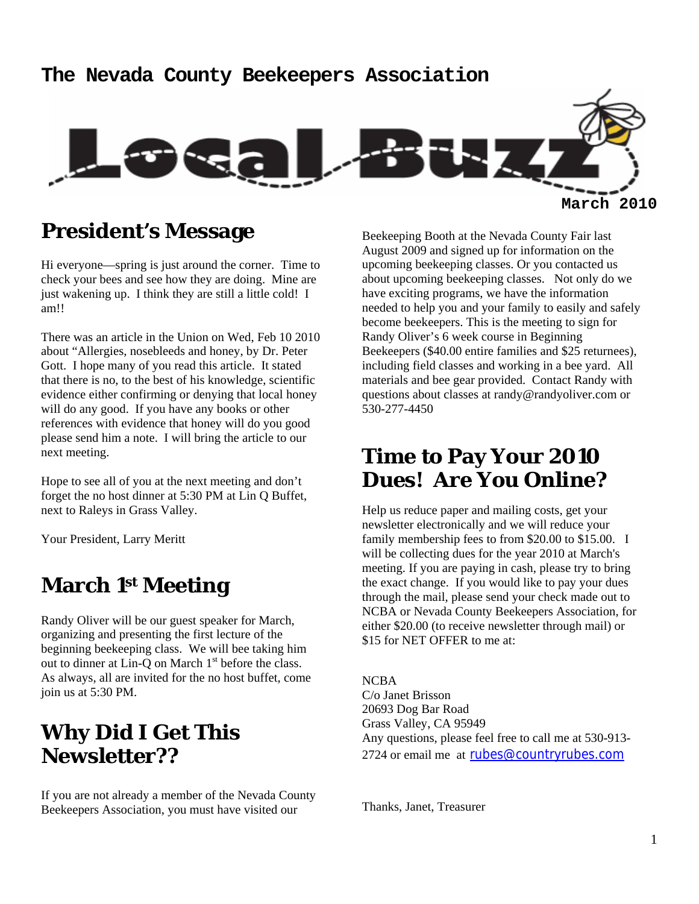# **The Nevada County Beekeepers Association March 2010**

## **President's Message**

Hi everyone—spring is just around the corner. Time to check your bees and see how they are doing. Mine are just wakening up. I think they are still a little cold! I am!!

There was an article in the Union on Wed, Feb 10 2010 about "Allergies, nosebleeds and honey, by Dr. Peter Gott. I hope many of you read this article. It stated that there is no, to the best of his knowledge, scientific evidence either confirming or denying that local honey will do any good. If you have any books or other references with evidence that honey will do you good please send him a note. I will bring the article to our next meeting.

Hope to see all of you at the next meeting and don't forget the no host dinner at 5:30 PM at Lin Q Buffet, next to Raleys in Grass Valley.

Your President, Larry Meritt

## **March 1st Meeting**

Randy Oliver will be our guest speaker for March, organizing and presenting the first lecture of the beginning beekeeping class. We will bee taking him out to dinner at Lin-Q on March  $1<sup>st</sup>$  before the class. As always, all are invited for the no host buffet, come join us at 5:30 PM.

## **Why Did I Get This Newsletter??**

If you are not already a member of the Nevada County Beekeepers Association, you must have visited our

Beekeeping Booth at the Nevada County Fair last August 2009 and signed up for information on the upcoming beekeeping classes. Or you contacted us about upcoming beekeeping classes. Not only do we have exciting programs, we have the information needed to help you and your family to easily and safely become beekeepers. This is the meeting to sign for Randy Oliver's 6 week course in Beginning Beekeepers (\$40.00 entire families and \$25 returnees), including field classes and working in a bee yard. All materials and bee gear provided. Contact Randy with questions about classes at randy@randyoliver.com or 530-277-4450

### **Time to Pay Your 2010 Dues! Are You Online?**

Help us reduce paper and mailing costs, get your newsletter electronically and we will reduce your family membership fees to from \$20.00 to \$15.00. I will be collecting dues for the year 2010 at March's meeting. If you are paying in cash, please try to bring the exact change. If you would like to pay your dues through the mail, please send your check made out to NCBA or Nevada County Beekeepers Association, for either \$20.00 (to receive newsletter through mail) or \$15 for NET OFFER to me at:

NCBA C/o Janet Brisson 20693 Dog Bar Road Grass Valley, CA 95949 Any questions, please feel free to call me at 530-913- 2724 or email me at rubes@countryrubes.com

Thanks, Janet, Treasurer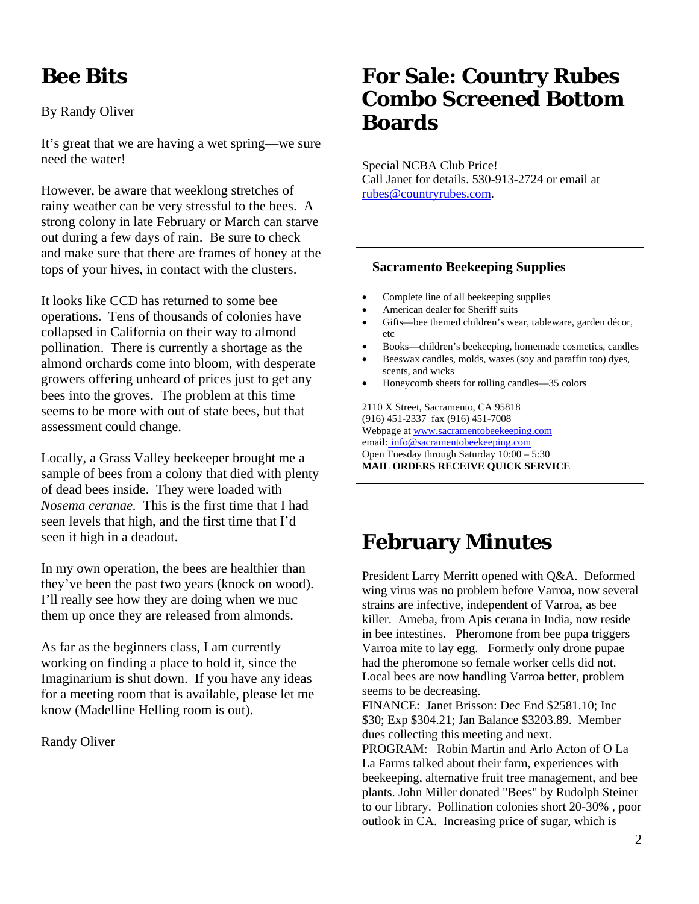# **Bee Bits**

By Randy Oliver

It's great that we are having a wet spring—we sure need the water!

However, be aware that weeklong stretches of rainy weather can be very stressful to the bees. A strong colony in late February or March can starve out during a few days of rain. Be sure to check and make sure that there are frames of honey at the tops of your hives, in contact with the clusters.

It looks like CCD has returned to some bee operations. Tens of thousands of colonies have collapsed in California on their way to almond pollination. There is currently a shortage as the almond orchards come into bloom, with desperate growers offering unheard of prices just to get any bees into the groves. The problem at this time seems to be more with out of state bees, but that assessment could change.

Locally, a Grass Valley beekeeper brought me a sample of bees from a colony that died with plenty of dead bees inside. They were loaded with *Nosema ceranae.* This is the first time that I had seen levels that high, and the first time that I'd seen it high in a deadout.

In my own operation, the bees are healthier than they've been the past two years (knock on wood). I'll really see how they are doing when we nuc them up once they are released from almonds.

As far as the beginners class, I am currently working on finding a place to hold it, since the Imaginarium is shut down. If you have any ideas for a meeting room that is available, please let me know (Madelline Helling room is out).

Randy Oliver

## **For Sale: Country Rubes Combo Screened Bottom Boards**

Special NCBA Club Price! Call Janet for details. 530-913-2724 or email at rubes@countryrubes.com.

#### **Sacramento Beekeeping Supplies**

- Complete line of all beekeeping supplies
- American dealer for Sheriff suits
- Gifts—bee themed children's wear, tableware, garden décor, etc
- Books—children's beekeeping, homemade cosmetics, candles
- Beeswax candles, molds, waxes (soy and paraffin too) dyes, scents, and wicks
- Honeycomb sheets for rolling candles—35 colors

2110 X Street, Sacramento, CA 95818 (916) 451-2337 fax (916) 451-7008 Webpage at www.sacramentobeekeeping.com email: info@sacramentobeekeeping.com Open Tuesday through Saturday 10:00 – 5:30 **MAIL ORDERS RECEIVE QUICK SERVICE** 

## **February Minutes**

President Larry Merritt opened with Q&A. Deformed wing virus was no problem before Varroa, now several strains are infective, independent of Varroa, as bee killer. Ameba, from Apis cerana in India, now reside in bee intestines. Pheromone from bee pupa triggers Varroa mite to lay egg. Formerly only drone pupae had the pheromone so female worker cells did not. Local bees are now handling Varroa better, problem seems to be decreasing.

FINANCE: Janet Brisson: Dec End \$2581.10; Inc \$30; Exp \$304.21; Jan Balance \$3203.89. Member dues collecting this meeting and next.

PROGRAM: Robin Martin and Arlo Acton of O La La Farms talked about their farm, experiences with beekeeping, alternative fruit tree management, and bee plants. John Miller donated "Bees" by Rudolph Steiner to our library. Pollination colonies short 20-30% , poor outlook in CA. Increasing price of sugar, which is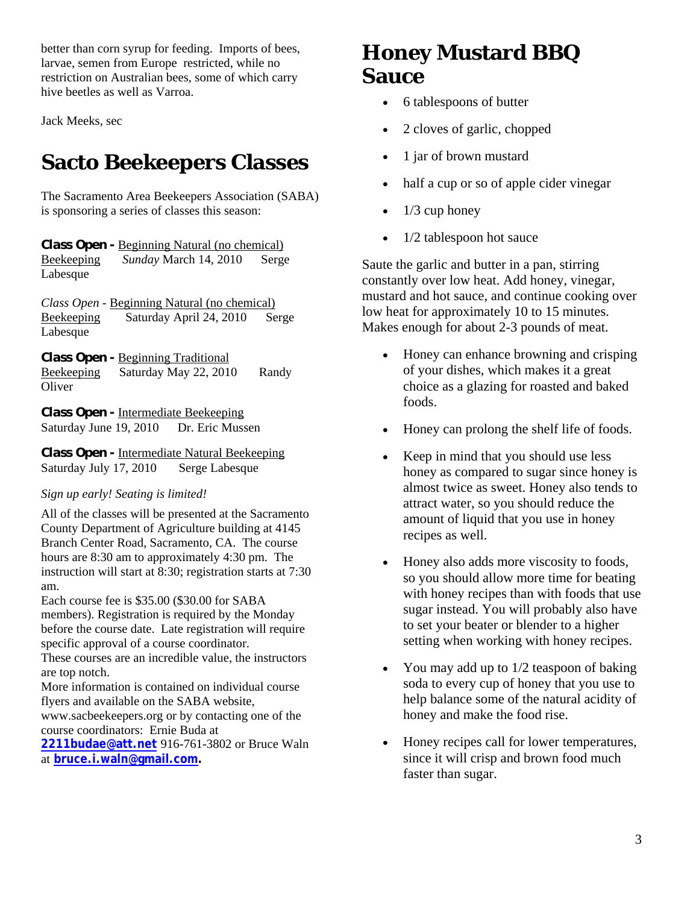better than corn syrup for feeding. Imports of bees, larvae, semen from Europe restricted, while no restriction on Australian bees, some of which carry hive beetles as well as Varroa.

Jack Meeks, sec

## **Sacto Beekeepers Classes**

The Sacramento Area Beekeepers Association (SABA) is sponsoring a series of classes this season:

*Class Open -* Beginning Natural (no chemical) Beekeeping *Sunday* March 14, 2010 Serge Labesque

*Class Open -* Beginning Natural (no chemical) Beekeeping Saturday April 24, 2010 Serge Labesque

*Class Open -* Beginning Traditional Beekeeping Saturday May 22, 2010 Randy **Oliver** 

*Class Open -* Intermediate Beekeeping Saturday June 19, 2010 Dr. Eric Mussen

*Class Open -* Intermediate Natural Beekeeping Saturday July 17, 2010 Serge Labesque

#### *Sign up early! Seating is limited!*

All of the classes will be presented at the Sacramento County Department of Agriculture building at 4145 Branch Center Road, Sacramento, CA. The course hours are 8:30 am to approximately 4:30 pm. The instruction will start at 8:30; registration starts at 7:30 am.

Each course fee is \$35.00 (\$30.00 for SABA members). Registration is required by the Monday before the course date. Late registration will require specific approval of a course coordinator.

These courses are an incredible value, the instructors are top notch.

More information is contained on individual course flyers and available on the SABA website,

www.sacbeekeepers.org or by contacting one of the course coordinators: Ernie Buda at

**2211budae@att.net** 916-761-3802 or Bruce Waln at **bruce.i.waln@gmail.com.** 

## **Honey Mustard BBQ Sauce**

- 6 tablespoons of butter
- 2 cloves of garlic, chopped
- 1 jar of brown mustard
- half a cup or so of apple cider vinegar
- $\bullet$  1/3 cup honey
- 1/2 tablespoon hot sauce

Saute the garlic and butter in a pan, stirring constantly over low heat. Add honey, vinegar, mustard and hot sauce, and continue cooking over low heat for approximately 10 to 15 minutes. Makes enough for about 2-3 pounds of meat.

- Honey can enhance browning and crisping of your dishes, which makes it a great choice as a glazing for roasted and baked foods.
- Honey can prolong the shelf life of foods.
- Keep in mind that you should use less honey as compared to sugar since honey is almost twice as sweet. Honey also tends to attract water, so you should reduce the amount of liquid that you use in honey recipes as well.
- Honey also adds more viscosity to foods, so you should allow more time for beating with honey recipes than with foods that use sugar instead. You will probably also have to set your beater or blender to a higher setting when working with honey recipes.
- You may add up to 1/2 teaspoon of baking soda to every cup of honey that you use to help balance some of the natural acidity of honey and make the food rise.
- Honey recipes call for lower temperatures, since it will crisp and brown food much faster than sugar.